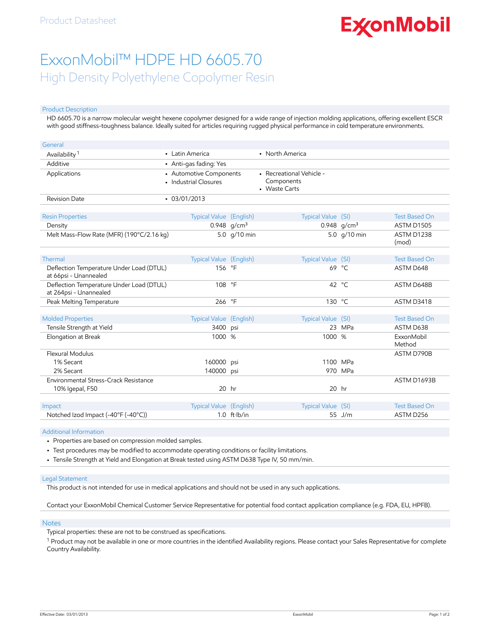# **ExconMobil**

## ExxonMobil™ HDPE HD 6605.70 High Density Polyethylene Copolymer Resin

#### Product Description

HD 6605.70 is a narrow molecular weight hexene copolymer designed for a wide range of injection molding applications, offering excellent ESCR with good stiffness-toughness balance. Ideally suited for articles requiring rugged physical performance in cold temperature environments.

| General                                                            |                                                  |                        |                                                         |                |                      |
|--------------------------------------------------------------------|--------------------------------------------------|------------------------|---------------------------------------------------------|----------------|----------------------|
| Availability <sup>1</sup>                                          | • Latin America                                  |                        | • North America                                         |                |                      |
| Additive                                                           | • Anti-gas fading: Yes                           |                        |                                                         |                |                      |
| Applications                                                       | • Automotive Components<br>· Industrial Closures |                        | - Recreational Vehicle -<br>Components<br>• Waste Carts |                |                      |
| <b>Revision Date</b>                                               | $-03/01/2013$                                    |                        |                                                         |                |                      |
| <b>Resin Properties</b>                                            | <b>Typical Value</b> (English)                   |                        | Typical Value (SI)                                      |                | <b>Test Based On</b> |
| Density                                                            |                                                  | 0.948 $q/cm^3$         |                                                         | 0.948 $q/cm^3$ | ASTM D1505           |
| Melt Mass-Flow Rate (MFR) (190°C/2.16 kg)                          |                                                  | 5.0 g/10 min           |                                                         | 5.0 g/10 min   | ASTM D1238<br>(mod)  |
| Thermal                                                            | Typical Value (English)                          |                        | Typical Value (SI)                                      |                | <b>Test Based On</b> |
| Deflection Temperature Under Load (DTUL)<br>at 66psi - Unannealed  | 156 °F                                           |                        |                                                         | 69 °C          | ASTM D648            |
| Deflection Temperature Under Load (DTUL)<br>at 264psi - Unannealed | 108 °F                                           |                        |                                                         | 42 °C          | ASTM D648B           |
| Peak Melting Temperature                                           | 266                                              | $\circ$ F              | 130 °C                                                  |                | ASTM D3418           |
|                                                                    |                                                  |                        |                                                         |                |                      |
| <b>Molded Properties</b>                                           | Typical Value (English)                          |                        | Typical Value (SI)                                      |                | <b>Test Based On</b> |
| Tensile Strength at Yield                                          | 3400                                             | psi                    |                                                         | 23 MPa         | ASTM D638            |
| Elongation at Break                                                | 1000 %                                           |                        | 1000 %                                                  |                | ExxonMobil<br>Method |
| Flexural Modulus                                                   |                                                  |                        |                                                         |                | ASTM D790B           |
| 1% Secant                                                          | 160000                                           | psi                    |                                                         | 1100 MPa       |                      |
| 2% Secant                                                          | 140000                                           | psi                    |                                                         | 970 MPa        |                      |
| Environmental Stress-Crack Resistance                              |                                                  |                        |                                                         |                | ASTM D1693B          |
| 10% Igepal, F50                                                    | $20$ hr                                          |                        |                                                         | $20$ hr        |                      |
|                                                                    |                                                  |                        |                                                         |                |                      |
| Impact                                                             | <b>Typical Value</b> (English)                   |                        | Typical Value (SI)                                      |                | <b>Test Based On</b> |
| Notched Izod Impact (-40°F (-40°C))                                |                                                  | $1.0$ ft $\cdot$ lb/in |                                                         | 55 J/m         | ASTM D256            |

#### Additional Information

- Properties are based on compression molded samples.
- Test procedures may be modified to accommodate operating conditions or facility limitations.
- Tensile Strength at Yield and Elongation at Break tested using ASTM D638 Type IV, 50 mm/min.

#### Legal Statement

This product is not intended for use in medical applications and should not be used in any such applications.

Contact your ExxonMobil Chemical Customer Service Representative for potential food contact application compliance (e.g. FDA, EU, HPFB).

#### Notes

Typical properties: these are not to be construed as specifications.

 $^1$  Product may not be available in one or more countries in the identified Availability regions. Please contact your Sales Representative for complete Country Availability.